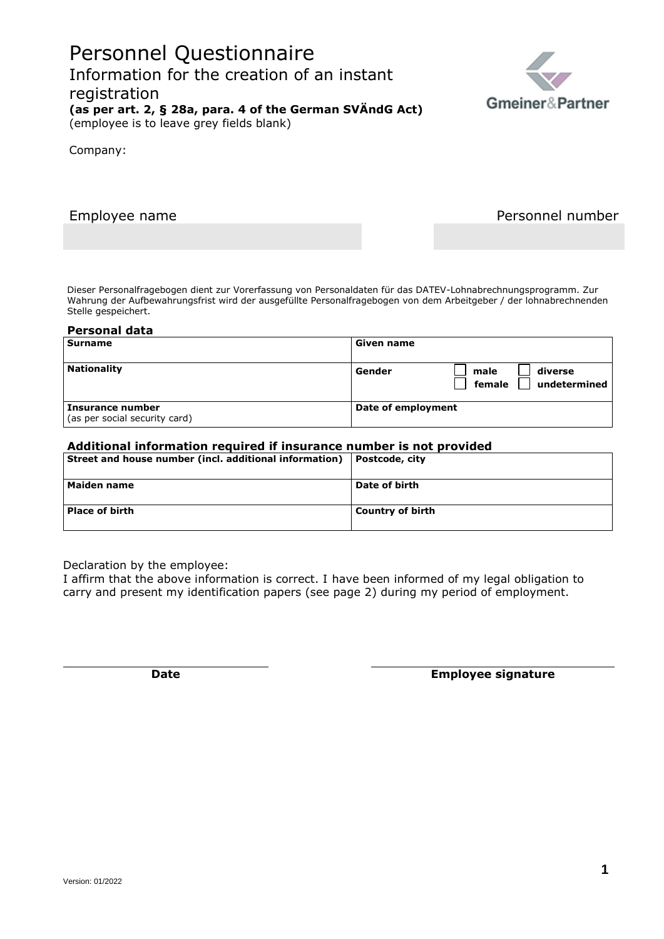# Personnel Questionnaire Information for the creation of an instant registration **(as per art. 2, § 28a, para. 4 of the German SVÄndG Act)** (employee is to leave grey fields blank)

Company:

Employee name **Personnel number** 

Dieser Personalfragebogen dient zur Vorerfassung von Personaldaten für das DATEV-Lohnabrechnungsprogramm. Zur Wahrung der Aufbewahrungsfrist wird der ausgefüllte Personalfragebogen von dem Arbeitgeber / der lohnabrechnenden Stelle gespeichert.

#### **Personal data**

| Surname                                           | Given name                                          |
|---------------------------------------------------|-----------------------------------------------------|
| <b>Nationality</b>                                | Gender<br>diverse<br>male<br>undetermined<br>female |
| Insurance number<br>(as per social security card) | Date of employment                                  |

### **Additional information required if insurance number is not provided**

| Street and house number (incl. additional information) | Postcode, city          |
|--------------------------------------------------------|-------------------------|
| <b>Maiden name</b>                                     | Date of birth           |
| <b>Place of birth</b>                                  | <b>Country of birth</b> |

Declaration by the employee:

I affirm that the above information is correct. I have been informed of my legal obligation to carry and present my identification papers (see page 2) during my period of employment.

**Date Employee signature**